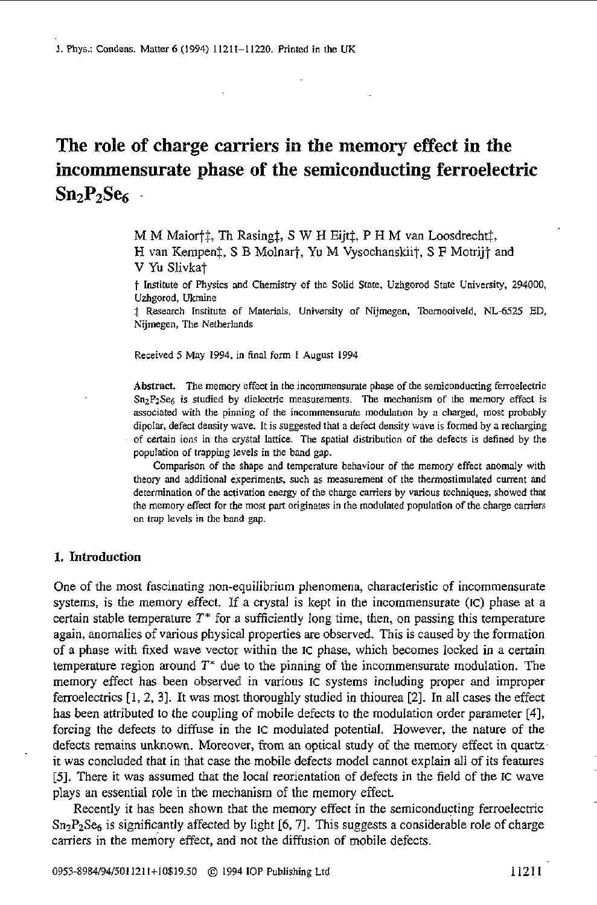# **The role of charge carriers in the memory effect in the incommensurate phase of the semiconducting ferroelectric SnzP,Ses**

M M Maior<sup>†</sup>‡, Th Rasing‡, *S* W H Eijt‡, P H M van Loosdrecht‡, H van Kempenz, *S* B Molnart, **Yu** M Vysochanskiit, S **F** Motrijt and **V** Yu Slivkat

f Institute of Physics md Chemistry of the Solid State, Uzhgomd State University, 294000, Uzhgorod, Uknine

I Resexch Institute of Materials, University of Nijmegen. Toernmiveld. **NL-6525** ED, Nijmegen, The Netherlands

Received *5* May 1994. in **final** form 1 August 1994

Abstract. The memory effect in the incommensurate phase of the semiconducting ferroelectric **SnzPzSes** is studied by dielectric measurements. The mechanism of the memory effect is associated with the pinning of the **incommensumte** modulauon by *a* charged, most probably dipolar, defect density wave. It is suggested that a defect density wave is formed by a recharging Of certain ions in the crystal lattice. The spatial distribution of the defects is defined by the population of trapping levels in the band gap.

Comparison of the shape and temperature behaviour of the memory effect anomaly with theory and additional experiments, such as measurement of the thermostimulated current and determination of the activation energy of the charge carriers by various techniques, showed that the memory effect for the most part originates in the modulated population of the charge carriers on trap levels in the band gap.

### **1. Introduction**

One of the most fascinating non-equilibrium phenomena, characteristic of incommensurate systems, is the memory effect. If a crystal is kept in the incommensurate (IC) phase at a certain stable temperature  $T^*$  for a sufficiently long time, then, on passing this temperature again, anomalies of various physical properties are observed. This is caused by the formation of a phase with fixed wave vector within the IC phase, which becomes locked in a certain temperature region around *T\** due to the pinning of the incommensurate modulation. The memory effect has been observed in various IC systems including proper and improper ferroelectrics [I, 2, 31. It was most thoroughly studied in thiourea. **[Z].** In all cases the effect has been attributed to the coupling of mobile defects to the modulation order parameter *[4],*  forcing the defects to diffuse in the IC modulated potential. However, the nature of the defects remains unknown. Moreover, from an optical study of the memory effect in quartz it was concluded that in that case the mobile defects model cannot explain all of its features *[5].* There it was assumed that the local reorientation of defects in the field of the IC wave plays an essential role in the mechanism of the memory effect.

Recently it has been shown that the memory effect in the semiconducting ferroelectric Sn2PzSes **is** significantly affected by light *[6,7].* This suggests a considerable role of charge carriers in the memory effect, and not the diffusion of mobile defects.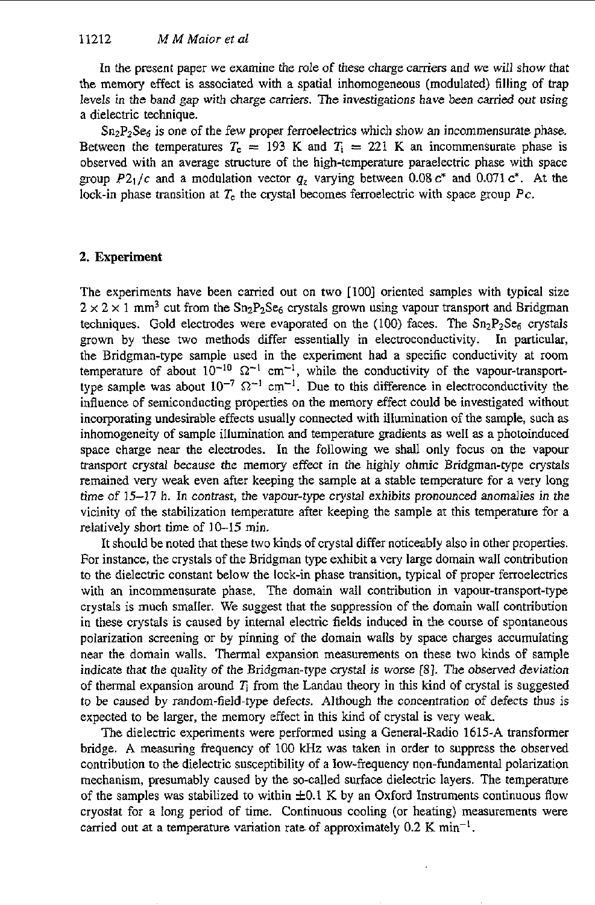In the present paper we examine the role of these charge carriers and we will show that the memory effect is associated with a spatial inhomogeneous (modulated) filling of trap levels in the band gap with charge carriers. The investigations have been carried out using a dielectric technique.

Sn<sub>2</sub>P<sub>2</sub>Se<sub>6</sub> is one of the few proper ferroelectrics which show an incommensurate phase. Between the temperatures  $T_c = 193$  K and  $T_i = 221$  K an incommensurate phase is observed with an average structure of the high-temperature paraelectric phase with space group  $P2_1/c$  and a modulation vector  $q_z$  varying between 0.08  $c^*$  and 0.071  $c^*$ . At the lock-in phase transition at  $T_c$  the crystal becomes ferroelectric with space group  $P_c$ .

## **2. Experiment**

The experiments have been carried out on two [100] oriented samples with typical size  $2 \times 2 \times 1$  mm<sup>3</sup> cut from the Sn<sub>2</sub>P<sub>2</sub>Se<sub>6</sub> crystals grown using vapour transport and Bridgman techniques. Gold electrodes were evaporated on the (100) faces. The  $Sn_2P_2Se_6$  crystals grown by these two methods differ essentially in electroconductivity. In particular, the Bridgman-type sample used in the experiment had a specific conductivity at room temperature of about  $10^{-10}$   $\Omega^{-1}$  cm<sup>-1</sup>, while the conductivity of the vapour-transporttype sample was about  $10^{-7}$   $\Omega^{-1}$  cm<sup>-1</sup>. Due to this difference in electroconductivity the influence of semiconducting properties on the memory effect could he investigated without incorporating undesirable effects usually connected with illumination of the sample, such as inhomogeneity of sample illumination and temperature gradients as well **as** a photoinduced space charge near the electrodes. In the following we shall only focus on the vapour transport crystal because the memory effect in the highly ohmic Bridgman-type crystals remained very weak even after keeping the sample at a stable temperature for a very long time of 15-17 h. In contrast, the vapour-type crystal exhibits pronounced anomalies in the vicinity of the stabilization temperature after keeping the sample at this temperature for a relatively short time of 10-15 min.

It should be noted that these two kinds of crystal differ noticeably also in other properties. For instance, the crystals of the Bridgman type exhibit a very large domain wall contribution to the dielectric constant below the lock-in phase transition, typical of proper ferroelectrics with an incommensurate phase. The domain wall contribution in vapour-transport-type crystals is much smaller. We suggest that the suppression of the domain wall contribution in these crystals is caused by internal electric fields induced in the course of spontaneous polarization screening or by pinning of the domain walls by space charges accumulating near the domain walls. Thermal expansion measurements on these two kinds of sample indicate that the quality *of* the Bridgman-type crystal is worse **[8].** The observed deviation of thermal expansion around  $T<sub>i</sub>$  from the Landau theory in this kind of crystal is suggested to be caused by random-field-type defects. Although the concentration of defects thus is expected to be larger, the memory effect in this kind of crystal is very weak.

The dielectric experiments were performed using a General-Radio **1615-A** transformer bridge. A measuring frequency of 100 **kHz** was taken in order to suppress the observed contribution to the dielectric susceptibility of a low-frequency non-fundamental polarization mechanism, presumably caused by the so-called surface dielectric layers. The temperature of the samples was stabilized to within  $\pm 0.1$  K by an Oxford Instruments continuous flow cryostat for a long period of time. Continuous cooling (or heating) measurements were carried out at a temperature variation rate of approximately  $0.2 \text{ K min}^{-1}$ .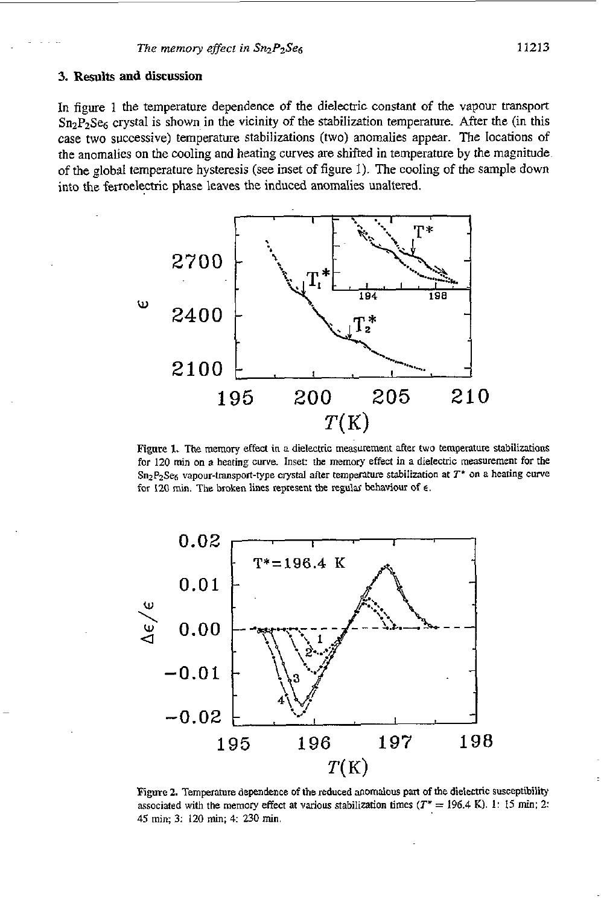#### **3. Results and discussion**

In figure 1 the temperature dependence **of** the dielectric constant of the vapour **transport**   $Sn_2P_2Se_6$  crystal is shown in the vicinity of the stabilization temperature. After the (in this case two successive) temperature stabilizations **(two)** anomalies appear. The locations of the anomalies on the cooling and heating curves are shifted in temperature by the magnitude. of the global temperature hysteresis (see inset of figure 1). The cooling of the sample down into the ferroelectric phase leaves the induced anomalies unaltered.



Figure 1. The memory effect in a dielectric measurement after two temperature stabilizations for 120 min on a heating curve. Inset: the memory effect in a dielectric measurement for the Sn<sub>2</sub>P<sub>2</sub>Se<sub>6</sub> vapour-transport-type crystal after temperature stabilization at T<sup>\*</sup> on a heating curve for 120 min. The broken lines represent the regular behaviour of  $\epsilon$ .



Figure 2. Temperature dependence of the reduced anomalous part of the dielectric susceptibility associated with the memory effect at various stabilization times ( $T^* = 196.4$  K). 1: 15 min; 2: 45 min; 3: 120 min; 4: 230 min.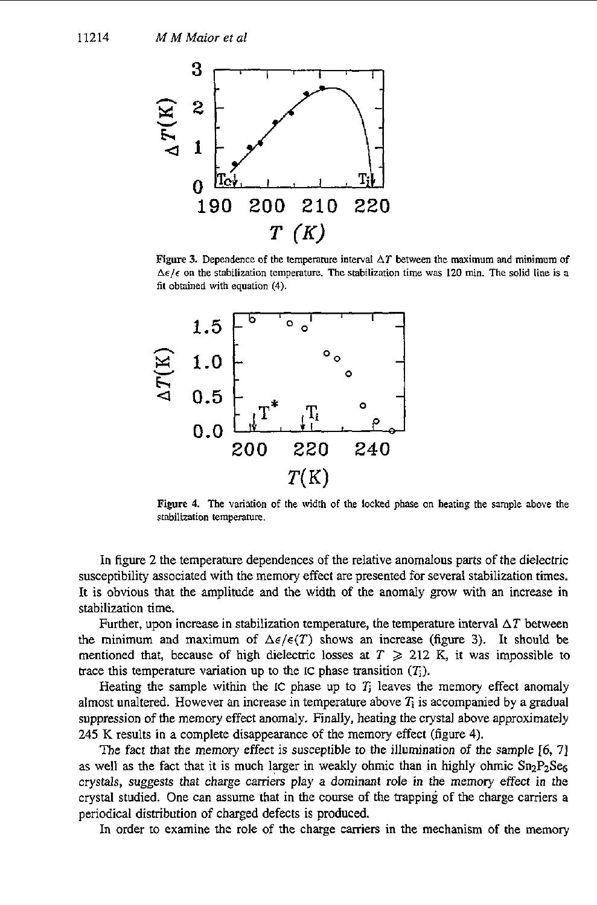

**Figure 3.** Dependence of the temperature interval  $\Delta T$  between the maximum and minimum of  $\Delta \epsilon / \epsilon$  on the stabilization temperature. The stabilization time was 120 min. The solid line is a **fit obtained with equation (4).** 



**Figure 4. The vafiation of the width of the locked phase on heating the sample above the stabilization temperature.** 

In figure 2 the temperature dependences of the relative anomalous parts of the dielectric susceptibility associated with the memory effect are presented for several stabilization times. It is obvious that the amplitude and the width *of* the anomaly grow with an increase in stabilization time.

Further, upon increase in stabilization temperature, the temperature interval  $\Delta T$  between the minimum and maximum of  $\Delta \epsilon / \epsilon(T)$  shows an increase (figure 3). It should be mentioned that, because of high dielectric losses at  $T \ge 212$  K, it was impossible to trace this temperature variation up to the IC phase transition  $(T<sub>i</sub>)$ .

Heating the sample within the **IC** phase up to **1;** leaves the memory effect anomaly almost unaltered. However an increase in temperature above *Ti* is accompanied by a gradual suppression of the memory effect anomaly. Finally, heating the crystal above approximately 245 K results in a complete disappearance *of* the memory effect (figure 4).

The fact that the memory effect is susceptible to the illumination *of* the sample [6, **71**  as well as the fact that it is much larger in weakly ohmic than in highly ohmic  $Sn_2P_2Se_6$ crystals, suggests that charge carriers play a dominant role in the memory effect in the crystal studied. One can assume that in the course of the trapping of the charge carriers a periodical distribution of charged defects is produced.

In order to examine the role of the charge carriers in the mechanism of the memory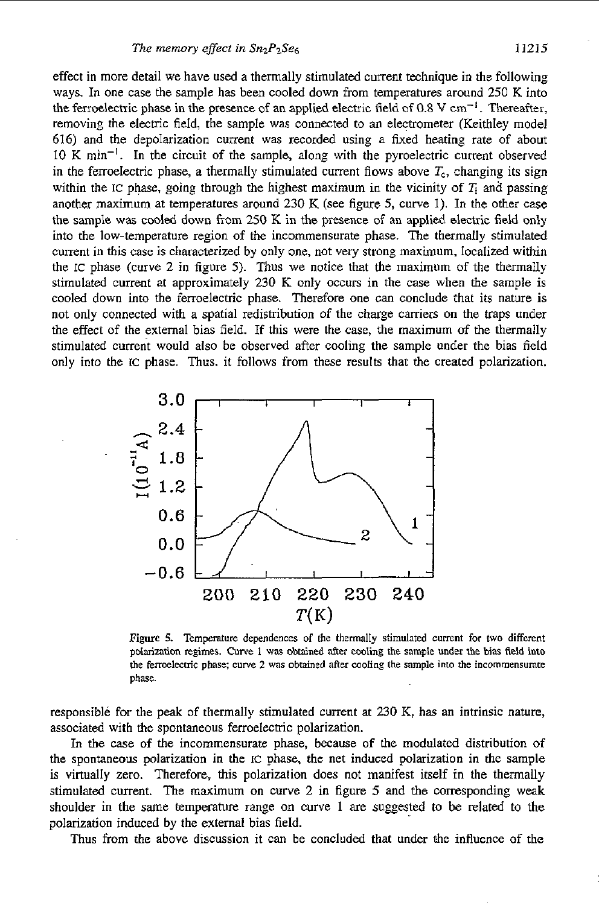effect in more detail we have used a thermally stimulated current technique in the following ways. In one case the sample has been cooled down from temperatures around 250 K into the ferroelectric phase in the presence of an applied electric field of 0.8 V cm<sup>-1</sup>. Thereafter, removing the electric field, the sample was connected to an electrometer (Keithley model 616) and the depolarization current was recorded using a fixed heating rate of about 10 K min-I. In the circuit of the sample, along with the pyroelectric current observed in the ferroelectric phase, a thermally stimulated current flows above  $T_c$ , changing its sign within the IC phase, going through the highest maximum in the vicinity of  $T_i$  and passing another maximum at temperatures around 230 K (see figure *5,* curve 1). In the other case the sample was cooled down from *250* K in the presence of an applied electric field only into the low-temperature region of the incommensurate phase. The thermally stimulated current in **this** case is characterized by only one, not very strong maximum, localized within the IC phase (curve **2** in figure 5). Thus we notice that the maximum of the thermally stimulated current at approximately 230 K only occurs in the case when the sample **is**  cooled down into the ferroelectric phase. Therefore one can conclude that its nature is not only connected with a spatial redistribution of the charge carriers on the traps under the effect of the external bias field. If this were the case, the maximum of the thermally stimulated current would also be observed after cooling the sample under the bias field only into the IC phase. Thus. it follows from these results that the created polarization.



Figure **5.** Temperature dependences of **the** thermally stimulated current for two different **polorimtion** regimes. **Curre** I **was** obtained after cooling the **sample under** the **bias field into**  the ferroelectric **phase;** curve 2 was obtained **aner** moling the sample into **the** incommmsumte **phase.** 

responsible for the peak of thermally stimulated current at 230 K, has an intrinsic nature, associated with the spontaneous ferroelectric polarization.

**In** the case of the incommensurate phase, because of the modulated distribution of the spontaneous polarization in the IC phase, the net induced polarization in the sample is virtually zero. Therefore, this polarization does not manifest itself in the thermally stimulated current. The maximum on curve 2 in figure **5** and the corresponding weak shoulder in the same temperature range on curve 1 are suggested to be related to the polarization induced by the external bias field.

Thus from the above discussion it can be concluded that under he influence of the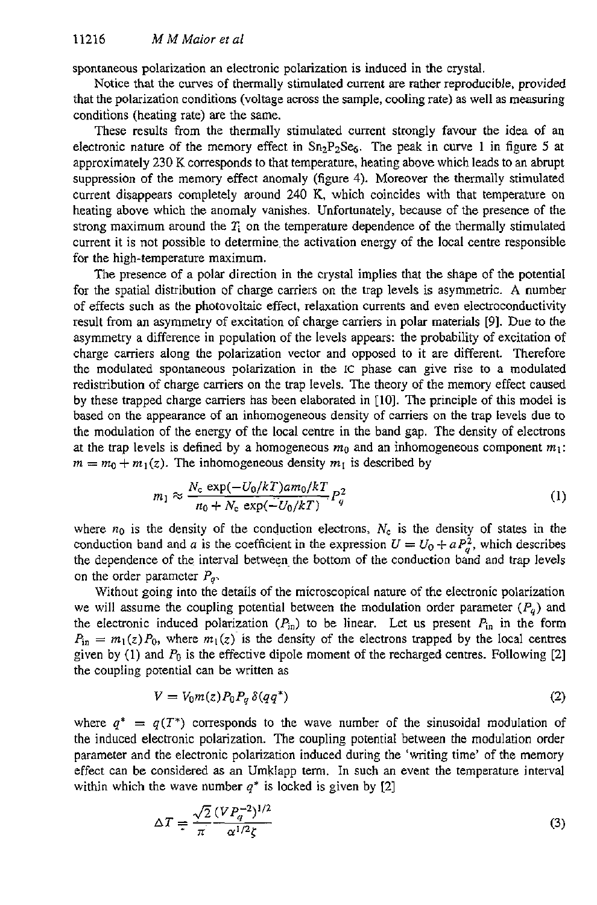spontaneous polarization **an** electronic polarization is induced in the crystal.

Notice that the curves of thermally stimulated current are rather reproducible, provided that the polarization conditions (voltage across the sample, cooling rate) as well as measuring conditions (heating rate) are the same.

These results from the thermally stimulated current strongly favour the idea of an electronic nature of the memory effect in Sn2P2Ses. The peak in curve **1** in figure 5 at approximately 230 K corresponds to that temperature, heating above which leads to an abrupt suppression of the memory effect anomaly (figure 4). Moreover the thermally stimulated current disappears completely around 240 K, which coincides with that temperature on heating above which the anomaly vanishes. Unfortunately, because of the presence of the strong maximum around the  $T_i$  on the temperature dependence of the thermally stimulated current it is not possible to determine the activation energy of the local centre responsible for the high-temperature maximum.

The presence of a polar direction in the crystal implies that the shape of the potential for the spatial distribution of charge carriers on the trap levels is asymmetric. **A** number of effects such as the photovoltaic effect, relaxation currents and even electroconductivity result from an asymmetry of excitation of charge carriers in polar materials *[9].* Due to the asymmetry a difference in population of the levels appears: the probability of excitation of charge carriers along the polarization vector and opposed to it are different. Therefore the modulated spontaneous polarization in the IC phase can give rise to a modulated redistribution of charge camiers on the trap levels. The theory of the memory effect caused by these trapped charge carriers has been elaborated in **[IO].** The principle of this model is based on the appearance of an inhomogeneous density of carriers on the trap levels due to the modulation of the energy of the local centre in the band gap. The density of electrons at the trap levels is defined by a homogeneous  $m_0$  and an inhomogeneous component  $m_1$ :  $m = m_0 + m_1(z)$ . The inhomogeneous density  $m_1$  is described by

$$
m_1 \approx \frac{N_c \exp(-U_0/kT) \, \text{am}_0/kT}{n_0 + N_c \exp(-U_0/kT)} P_q^2 \tag{1}
$$

where  $n_0$  is the density of the conduction electrons,  $N_c$  is the density of states in the conduction band and a is the coefficient in the expression  $U = U_0 + a P_a^2$ , which describes the dependence of the interval between the bottom of the conduction band and trap levels on the order parameter  $P_q$ .

Without going into the details of the microscopical nature of the electronic polarization we will assume the coupling potential between the modulation order parameter  $(P_q)$  and the electronic induced polarization  $(P_{in})$  to be linear. Let us present  $P_{in}$  in the form  $P_{\text{in}} = m_1(z)P_0$ , where  $m_1(z)$  is the density of the electrons trapped by the local centres given by (1) and *Po* is the effective dipole moment of the recharged centres. Following **[Z]**  the coupling potential can be written as

$$
V = V_0 m(z) P_0 P_q \, \delta(qq^*) \tag{2}
$$

where  $q^* = q(T^*)$  corresponds to the wave number of the sinusoidal modulation of the induced electronic polarization. The coupling potential between the modulation order parameter and the electronic polarization induced during the 'writing time' of the memory effect can be considered **as** an Umklapp term. In such an event the temperature interval within which the wave number  $q^*$  is locked is given by [2]

$$
\Delta T = \frac{\sqrt{2}}{\pi} \frac{(VP_q^{-2})^{1/2}}{\alpha^{1/2}\zeta} \tag{3}
$$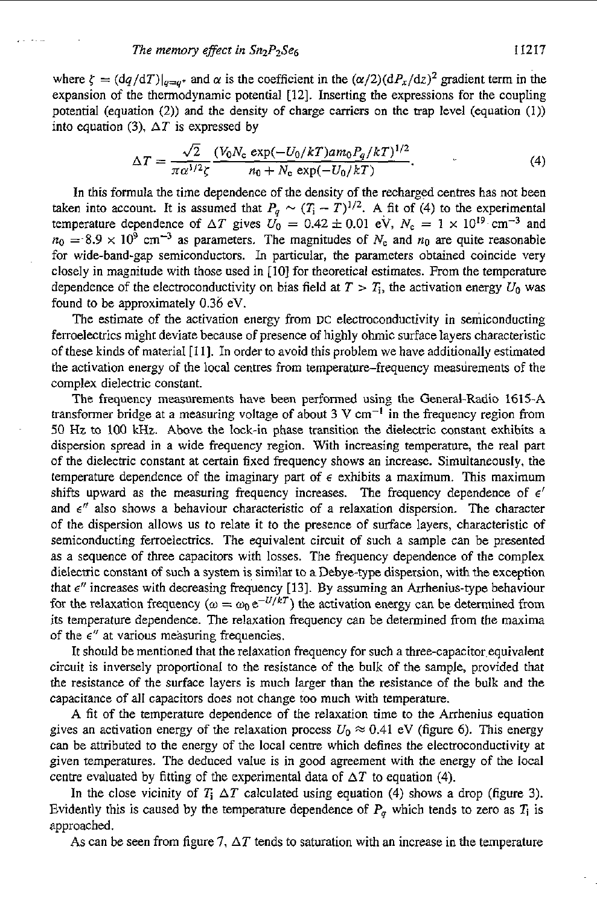$\cdot$  .

where  $\zeta = (dq/dT)|_{q=q^*}$  and  $\alpha$  is the coefficient in the  $(\alpha/2)(dP_x/dz)^2$  gradient term in the expansion of the thermodynamic potential [12]. Inserting the expressions for the coupling potential (equation (2)) and the density of charge carriers on the trap level (equation **(1))**  into equation (3),  $\Delta T$  is expressed by

$$
\Delta T = \frac{\sqrt{2}}{\pi \alpha^{1/2} \zeta} \frac{(V_0 N_c \exp(-U_0/kT) \, am_0 P_q/kT)^{1/2}}{n_0 + N_c \exp(-U_0/kT)}.\tag{4}
$$

In this formula the time dependence of the density of the recharged centres has not been In this formula the time dependence of the density of the recharged centres has not been taken into account. It is assumed that  $P_q \sim (T_i - T)^{1/2}$ . A fit of (4) to the experimental temperature dependence of  $\Delta T$  gives  $U_0 = 0.42 \pm 0.01$  eV,  $N_c = 1 \times 10^{19}$  cm<sup>-3</sup> and  $n_0 = 8.9 \times 10^9$  cm<sup>-3</sup> as parameters. The magnitudes of  $N_c$  and  $n_0$  are quite reasonable for wide-band-gap semiconductors. **In** particular, the parameters obtained coincide very closely in magnitude with those used in [lo] for theoretical estimates. From the temperature dependence of the electroconductivity on bias field at  $T > T_i$ , the activation energy  $U_0$  was found to be approximately 0.36 eV.

The estimate of the activation energy from **DC** electroconductivity in semiconducting ferroelectrics might deviate because of presence of highly ohmic surface layers characteristic of these kinds of material **[ll].** In order to avoid this problem we have additionally estimated the activation energy of the local centres from temperature-frequency measurements of the complex dielectric constant.

The frequency measurements have been performed using the General-Radio 1615-A transformer bridge at a measuring voltage of about  $3 \text{ V cm}^{-1}$  in the frequency region from 50 **Hz** to 100 kHz. Above the lock-in phase transition the dielectric constant exhibits a dispersion spread in a wide frequency region. With increasing temperature, the real part of the dielectric constant at certain fixed frequency shows an increase. Simultaneously. the temperature dependence of the imaginary part of  $\epsilon$  exhibits a maximum. This maximum shifts upward as the measuring frequency increases. The frequency dependence of  $\epsilon'$ and  $\epsilon''$  also shows a behaviour characteristic of a relaxation dispersion. The character of the dispersion allows **us** to relate it to the presence of surface layers, characteristic of semiconducting ferroelectrics. The equivalent circuit of such a sample can be presented as a sequence of three capacitors with losses. The frequency dependence of the complex dielectric constant of such a system is similar to a Debye-type dispersion, with the exception that *E"* increases with decreasing frequency [13]. By assuming an Arrhenius-type behaviour for the relaxation frequency  $(\omega = \omega_0 e^{-U/kT})$  the activation energy can be determined from its temperature dependence. The relaxation frequency can be determined from the maxima of the  $\epsilon$ " at various measuring frequencies.

It should be mentioned that the relaxation frequency for such a three-capacitor equivalent circuit is inversely proportional to the resistance of the bulk of the sample, provided that the resistance of the surface layers is much larger than the resistance of the bulk and the capacitance of all capacitors does not change **too** much with temperature.

A fit of the temperature dependence of the relaxation time to the Arrhenius equation gives an activation energy of the relaxation process  $U_0 \approx 0.41$  eV (figure 6). This energy can be attributed to the energy of the local centre which defines the electroconductivity at given temperatures. The deduced value is in good agreement with the energy *of* the local centre evaluated by fitting of the experimental data of  $\Delta T$  to equation (4).

In the close vicinity of  $T_i \Delta T$  calculated using equation (4) shows a drop (figure 3). Evidently this is caused by the temperature dependence of  $P_q$  which tends to zero as  $T_i$  is approached.

As can be seen from figure 7,  $\Delta T$  tends to saturation with an increase in the temperature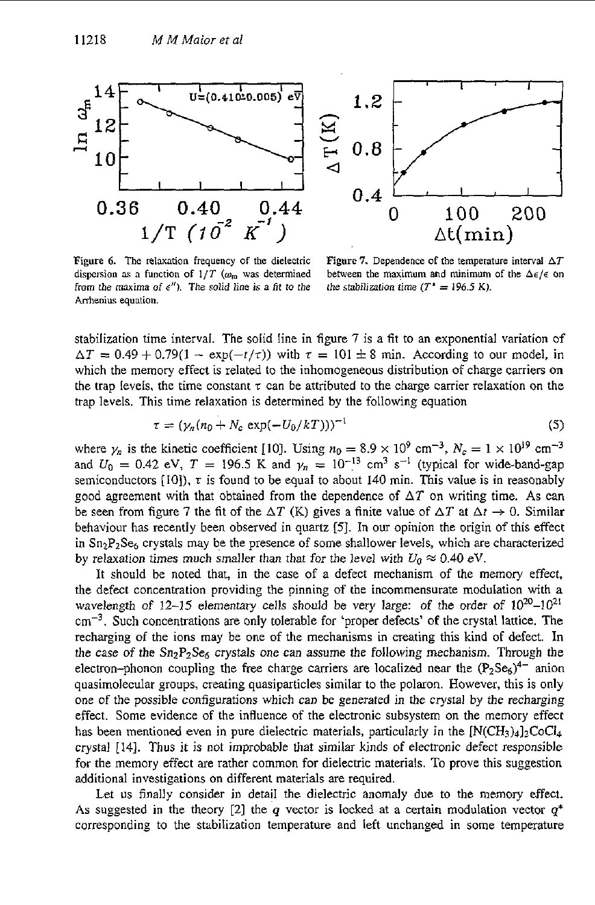

**Figure** *6.* The relaxation frequency **of** the dielectric dispersion as a function of  $1/T$  ( $\omega_{\rm m}$  was determined from the maxima of  $e''$ ). The solid line is a fit to the Arrhenius equation.

**Figure 7.** Dependence of the temperature interval *AT*  between the maximum and minimum of the  $\Delta \epsilon / \epsilon$  on the stabilization time  $(T^* = 196.5 \text{ K})$ .

stabilization time interval. The solid line in figure 7 is a fit to an exponential variation of  $\Delta T = 0.49 + 0.79(1 - \exp(-t/\tau))$  with  $\tau = 101 \pm 8$  min. According to our model, in which the memory effect is related to the inhomogeneous distribution of charge carriers on the trap levels, the time constant  $\tau$  can be attributed to the charge carrier relaxation on the trap levels. This time relaxation is determined by the following equation

$$
\tau = (\gamma_n (n_0 + N_c \exp(-U_0/kT)))^{-1}
$$
 (5)

where  $\gamma_n$  is the kinetic coefficient [10]. Using  $n_0 = 8.9 \times 10^9$  cm<sup>-3</sup>,  $N_c = 1 \times 10^{19}$  cm<sup>-3</sup> and  $U_0 = 0.42$  eV,  $T = 196.5$  K and  $\gamma_n = 10^{-13}$  cm<sup>3</sup> s<sup>-1</sup> (typical for wide-band-gap semiconductors  $[10]$ ,  $\tau$  is found to be equal to about 140 min. This value is in reasonably good agreement with that obtained from the dependence of  $\Delta T$  on writing time. As can be seen from figure 7 the fit of the  $\Delta T$  (K) gives a finite value of  $\Delta T$  at  $\Delta t \rightarrow 0$ . Similar behaviour has recently been observed in quartz **[5].** In our opinion the origin of this effect in  $Sn<sub>2</sub>P<sub>2</sub>Se<sub>6</sub>$  crystals may be the presence of some shallower levels, which are characterized by relaxation times much smaller than that for the level with  $U_0 \approx 0.40 \text{ eV}$ .

It should be noted that, in the case of a defect mechanism of the memory effect, the defect concentration providing the pinning of the incommensurate modulation with a wavelength of  $12-15$  elementary cells should be very large: of the order of  $10^{20}-10^{21}$  $cm<sup>-3</sup>$ , Such concentrations are only tolerable for 'proper defects' of the crystal lattice. The recharging of the ions may be one of the mechanisms in creating this kind of defect. In the case of the  $Sn_2P_2Se_6$  crystals one can assume the following mechanism. Through the electron-phonon coupling the free charge carriers are localized near the  $(P_2Se_6)^{4-}$  anion quasimolecular groups, creating quasiparticles similar to the polaron. However, this is only one of the possible configurations which can be generated in the crystal by the recharging effect. Some evidence of the influence of the electronic subsystem on the memory effect has been mentioned even in pure dielectric materials, particularly in the  $[N(CH_3)_4]_2CoCl_4$ crystal [14]. Thus it is not improbable that similar kinds of electronic defect responsible for the memory effect are rather common for dielectric materials. To prove this suggestion additional investigations on different materials are required.

Let us finally consider in detail the dielectric anomaly due to the memory effect. As suggested in the theory [2] the *q* vector is locked at a certain modulation vector  $q^*$ corresponding to the stabilization temperature and left unchanged in some temperature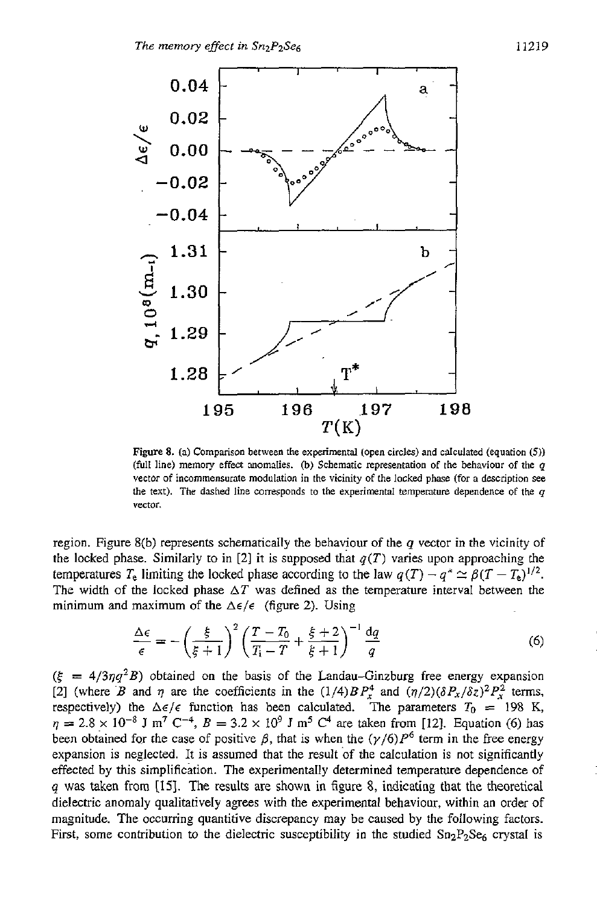

Figure *8.* **(a)** Comparison between the experimental **(open** circles) and calculated (equation *(5))*  **(full** line) memory effect momalies. **(b)** Schematic mpresentation of the behaviour of the y vector of incommensurate modulation in the vicinity of the locked phase (for a description see the text). The dashed line corresponds to the experimental temperature dependence of the  $q$ vector.

region. Figure 8(b) represents schematically the behaviour of the *q* vector in the vicinity of the locked phase. Similarly to in [2] it is supposed that  $q(T)$  varies upon approaching the temperatures  $T_e$  limiting the locked phase according to the law  $q(T) - q^* \simeq \beta (T - T_e)^{1/2}$ . The width of the locked phase  $\Delta T$  was defined as the temperature interval between the minimum and maximum of the  $\Delta \epsilon / \epsilon$  (figure 2). Using

$$
\frac{\Delta \epsilon}{\epsilon} = -\left(\frac{\xi}{\xi+1}\right)^2 \left(\frac{T-T_0}{T_1-T} + \frac{\xi+2}{\xi+1}\right)^{-1} \frac{dq}{q} \tag{6}
$$

 $(\xi = 4/3\eta q^2B)$  obtained on the basis of the Landau-Ginzburg free energy expansion [2] (where *B* and *q* are the coefficients in the  $(1/4)BP_x^4$  and  $(\eta/2)(\delta P_x/\delta z)^2P_x^2$  terms, respectively) the  $\Delta \epsilon / \epsilon$  function has been calculated. The parameters  $T_0 = 198$  K,  $p_1 = 2.8 \times 10^{-8}$  J m<sup>7</sup> C<sup>-4</sup>,  $B = 3.2 \times 10^9$  J m<sup>5</sup> C<sup>4</sup> are taken from [12]. Equation (6) has been obtained for the case of positive  $\beta$ , that is when the  $(\gamma/6)P^6$  term in the free energy expansion is neglected. It is assumed that the result of the calculation is not significantly effected by this simplification. The experimentally determined temperature dependence of *q* **was** taken from **[15].** The results are shown in figure 8, indicating that the theoretical dielectric anomaly qualitatively agrees with the experimental behaviour, within an order of magnitude. The occurring quantitive discrepancy may be caused by the following factors. First, some contribution to the dielectric susceptibility in the studied  $Sn_2P_2Se_6$  crystal is